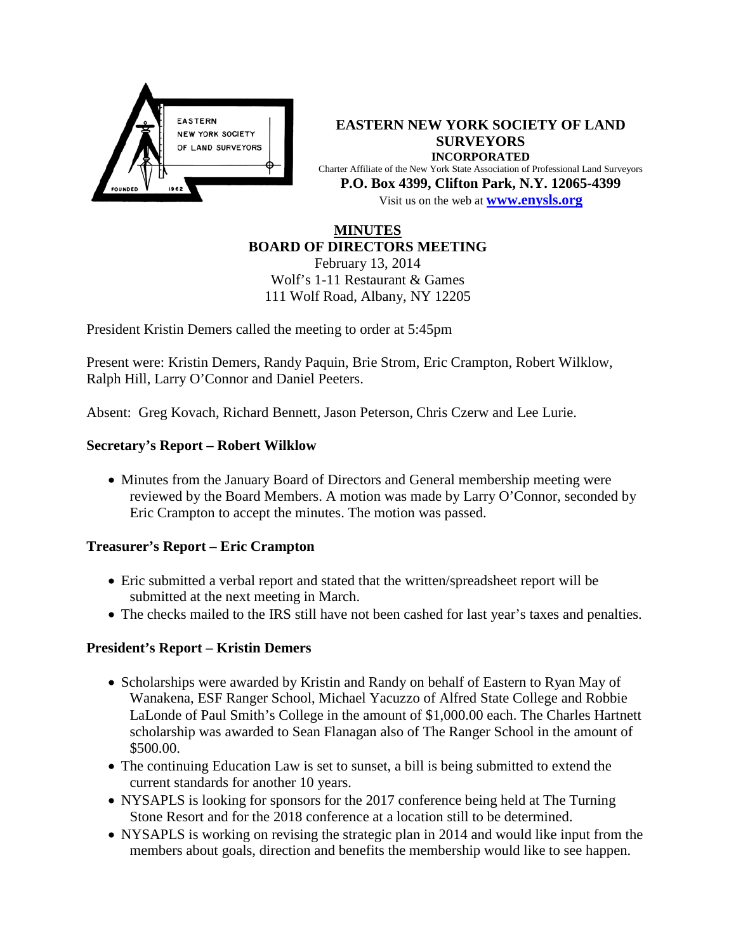

**EASTERN NEW YORK SOCIETY OF LAND SURVEYORS INCORPORATED** Charter Affiliate of the New York State Association of Professional Land Surveyors **P.O. Box 4399, Clifton Park, N.Y. 12065-4399** Visit us on the web at **[www.e](http://www.enysls.org/)nysls.org**

#### **MINUTES BOARD OF DIRECTORS MEETING**

February 13, 2014 Wolf's 1-11 Restaurant & Games 111 Wolf Road, Albany, NY 12205

President Kristin Demers called the meeting to order at 5:45pm

Present were: Kristin Demers, Randy Paquin, Brie Strom, Eric Crampton, Robert Wilklow, Ralph Hill, Larry O'Connor and Daniel Peeters.

Absent: Greg Kovach, Richard Bennett, Jason Peterson, Chris Czerw and Lee Lurie.

### **Secretary's Report – Robert Wilklow**

• Minutes from the January Board of Directors and General membership meeting were reviewed by the Board Members. A motion was made by Larry O'Connor, seconded by Eric Crampton to accept the minutes. The motion was passed.

#### **Treasurer's Report – Eric Crampton**

- Eric submitted a verbal report and stated that the written/spreadsheet report will be submitted at the next meeting in March.
- The checks mailed to the IRS still have not been cashed for last year's taxes and penalties.

## **President's Report – Kristin Demers**

- Scholarships were awarded by Kristin and Randy on behalf of Eastern to Ryan May of Wanakena, ESF Ranger School, Michael Yacuzzo of Alfred State College and Robbie LaLonde of Paul Smith's College in the amount of \$1,000.00 each. The Charles Hartnett scholarship was awarded to Sean Flanagan also of The Ranger School in the amount of \$500.00.
- The continuing Education Law is set to sunset, a bill is being submitted to extend the current standards for another 10 years.
- NYSAPLS is looking for sponsors for the 2017 conference being held at The Turning Stone Resort and for the 2018 conference at a location still to be determined.
- NYSAPLS is working on revising the strategic plan in 2014 and would like input from the members about goals, direction and benefits the membership would like to see happen.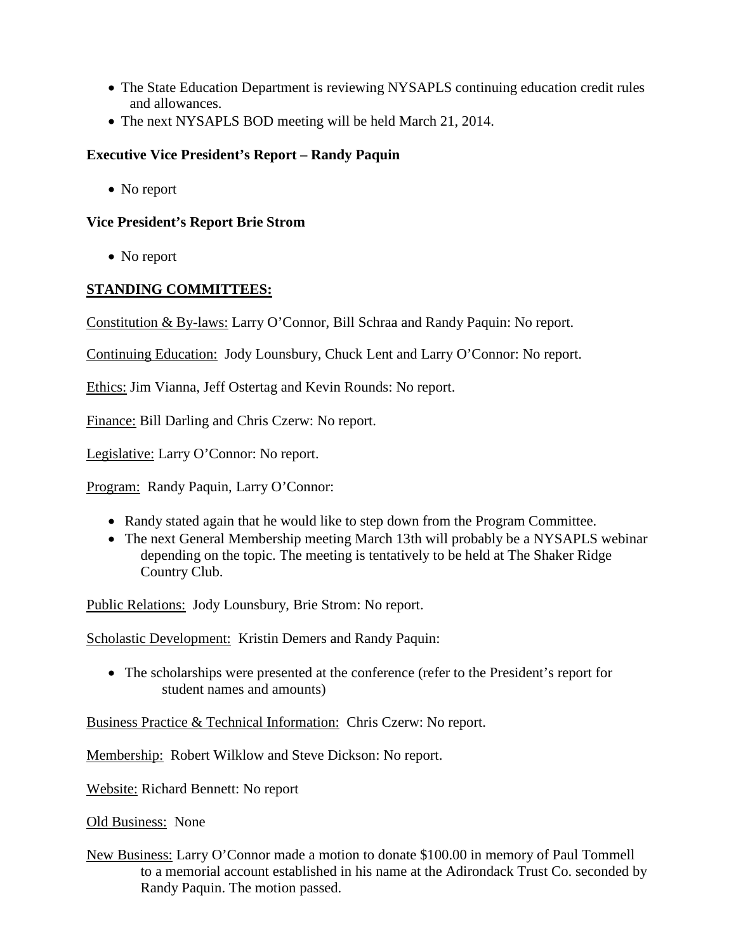- The State Education Department is reviewing NYSAPLS continuing education credit rules and allowances.
- The next NYSAPLS BOD meeting will be held March 21, 2014.

## **Executive Vice President's Report – Randy Paquin**

• No report

## **Vice President's Report Brie Strom**

• No report

# **STANDING COMMITTEES:**

Constitution & By-laws: Larry O'Connor, Bill Schraa and Randy Paquin: No report.

Continuing Education: Jody Lounsbury, Chuck Lent and Larry O'Connor: No report.

Ethics: Jim Vianna, Jeff Ostertag and Kevin Rounds: No report.

Finance: Bill Darling and Chris Czerw: No report.

Legislative: Larry O'Connor: No report.

Program: Randy Paquin, Larry O'Connor:

- Randy stated again that he would like to step down from the Program Committee.
- The next General Membership meeting March 13th will probably be a NYSAPLS webinar depending on the topic. The meeting is tentatively to be held at The Shaker Ridge Country Club.

Public Relations: Jody Lounsbury, Brie Strom: No report.

Scholastic Development: Kristin Demers and Randy Paquin:

• The scholarships were presented at the conference (refer to the President's report for student names and amounts)

Business Practice & Technical Information: Chris Czerw: No report.

Membership: Robert Wilklow and Steve Dickson: No report.

Website: Richard Bennett: No report

Old Business: None

New Business: Larry O'Connor made a motion to donate \$100.00 in memory of Paul Tommell to a memorial account established in his name at the Adirondack Trust Co. seconded by Randy Paquin. The motion passed.